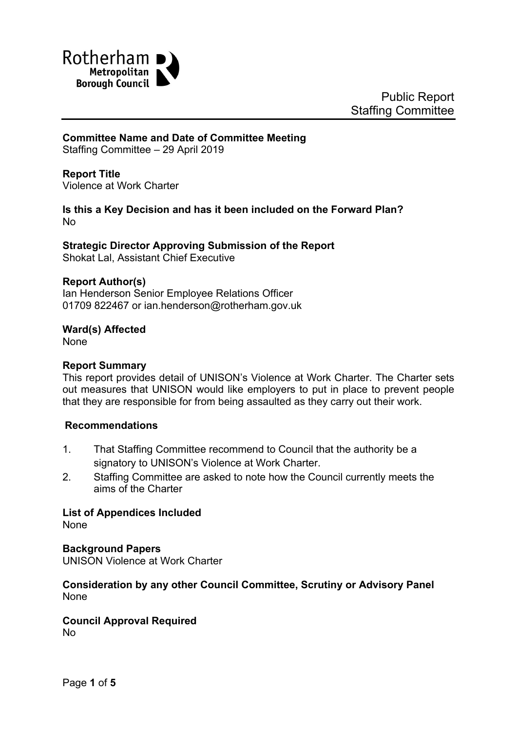

# **Committee Name and Date of Committee Meeting**

Staffing Committee – 29 April 2019

#### **Report Title**

<span id="page-0-0"></span>Violence at Work Charter

#### **Is this a Key Decision and has it been included on the Forward Plan?** No

# **Strategic Director Approving Submission of the Report**

Shokat Lal, Assistant Chief Executive

#### **Report Author(s)**

<span id="page-0-1"></span>Ian Henderson Senior Employee Relations Officer 01709 822467 or ian.henderson@rotherham.gov.uk

#### **Ward(s) Affected**

None

#### **Report Summary**

This report provides detail of UNISON's Violence at Work Charter. The Charter sets out measures that UNISON would like employers to put in place to prevent people that they are responsible for from being assaulted as they carry out their work.

### **Recommendations**

- 1. That Staffing Committee recommend to Council that the authority be a signatory to UNISON's Violence at Work Charter.
- 2. Staffing Committee are asked to note how the Council currently meets the aims of the Charter

**List of Appendices Included**

None

#### **Background Papers**

UNISON Violence at Work Charter

#### **Consideration by any other Council Committee, Scrutiny or Advisory Panel** None

# **Council Approval Required**

No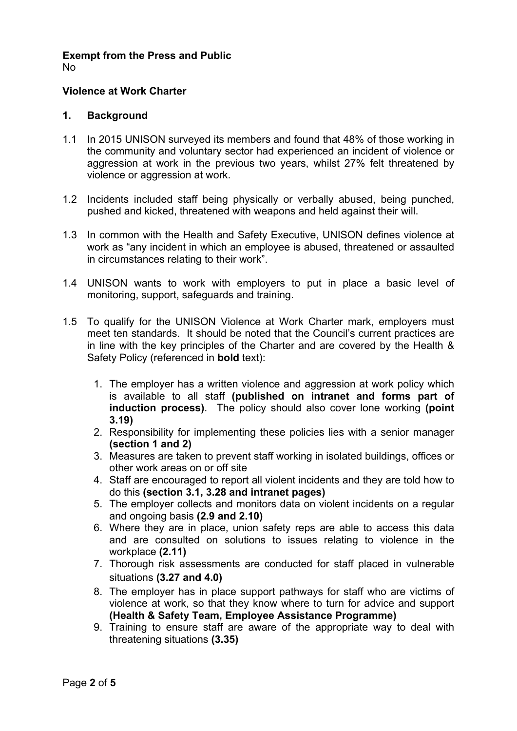# **Exempt from the Press and Public**

No

# **[Violence](#page-0-0) at Work Charter**

### **1. Background**

- 1.1 In 2015 UNISON surveyed its members and found that 48% of those working in the community and voluntary sector had experienced an incident of violence or aggression at work in the previous two years, whilst 27% felt threatened by violence or aggression at work.
- 1.2 Incidents included staff being physically or verbally abused, being punched, pushed and kicked, threatened with weapons and held against their will.
- 1.3 In common with the Health and Safety Executive, UNISON defines violence at work as "any incident in which an employee is abused, threatened or assaulted in circumstances relating to their work".
- 1.4 UNISON wants to work with employers to put in place a basic level of monitoring, support, safeguards and training.
- 1.5 To qualify for the UNISON Violence at Work Charter mark, employers must meet ten standards. It should be noted that the Council's current practices are in line with the key principles of the Charter and are covered by the Health & Safety Policy (referenced in **bold** text):
	- 1. The employer has a written violence and aggression at work policy which is available to all staff **(published on intranet and forms part of induction process)**. The policy should also cover lone working **(point 3.19)**
	- 2. Responsibility for implementing these policies lies with a senior manager **(section 1 and 2)**
	- 3. Measures are taken to prevent staff working in isolated buildings, offices or other work areas on or off site
	- 4. Staff are encouraged to report all violent incidents and they are told how to do this **(section 3.1, 3.28 and intranet pages)**
	- 5. The employer collects and monitors data on violent incidents on a regular and ongoing basis **(2.9 and 2.10)**
	- 6. Where they are in place, union safety reps are able to access this data and are consulted on solutions to issues relating to violence in the workplace **(2.11)**
	- 7. Thorough risk assessments are conducted for staff placed in vulnerable situations **(3.27 and 4.0)**
	- 8. The employer has in place support pathways for staff who are victims of violence at work, so that they know where to turn for advice and support **(Health & Safety Team, Employee Assistance Programme)**
	- 9. Training to ensure staff are aware of the appropriate way to deal with threatening situations **(3.35)**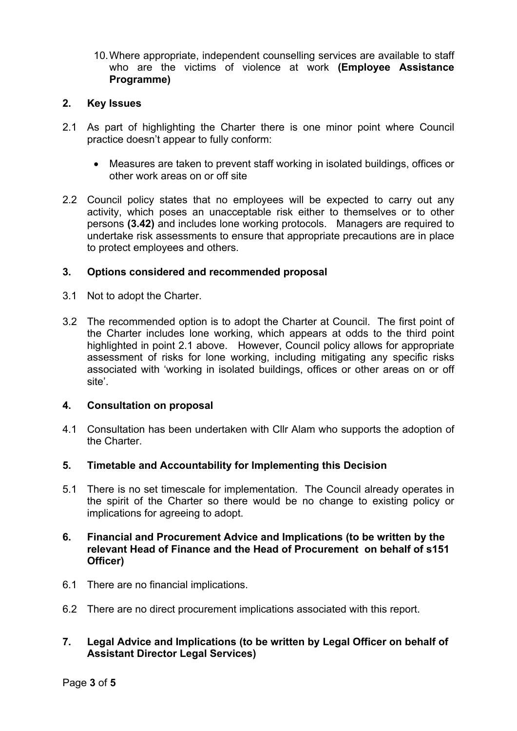10.Where appropriate, independent counselling services are available to staff who are the victims of violence at work **(Employee Assistance Programme)**

### **2. Key Issues**

- 2.1 As part of highlighting the Charter there is one minor point where Council practice doesn't appear to fully conform:
	- Measures are taken to prevent staff working in isolated buildings, offices or other work areas on or off site
- 2.2 Council policy states that no employees will be expected to carry out any activity, which poses an unacceptable risk either to themselves or to other persons **(3.42)** and includes lone working protocols. Managers are required to undertake risk assessments to ensure that appropriate precautions are in place to protect employees and others.

### **3. Options considered and recommended proposal**

- 3.1 Not to adopt the Charter.
- 3.2 The recommended option is to adopt the Charter at Council. The first point of the Charter includes lone working, which appears at odds to the third point highlighted in point 2.1 above. However, Council policy allows for appropriate assessment of risks for lone working, including mitigating any specific risks associated with 'working in isolated buildings, offices or other areas on or off site'.

### **4. Consultation on proposal**

- 4.1 Consultation has been undertaken with Cllr Alam who supports the adoption of the Charter.
- **5. Timetable and Accountability for Implementing this Decision**
- 5.1 There is no set timescale for implementation. The Council already operates in the spirit of the Charter so there would be no change to existing policy or implications for agreeing to adopt.

### **6. Financial and Procurement Advice and Implications (to be written by the relevant Head of Finance and the Head of Procurement on behalf of s151 Officer)**

- 6.1 There are no financial implications.
- 6.2 There are no direct procurement implications associated with this report.

# **7. Legal Advice and Implications (to be written by Legal Officer on behalf of Assistant Director Legal Services)**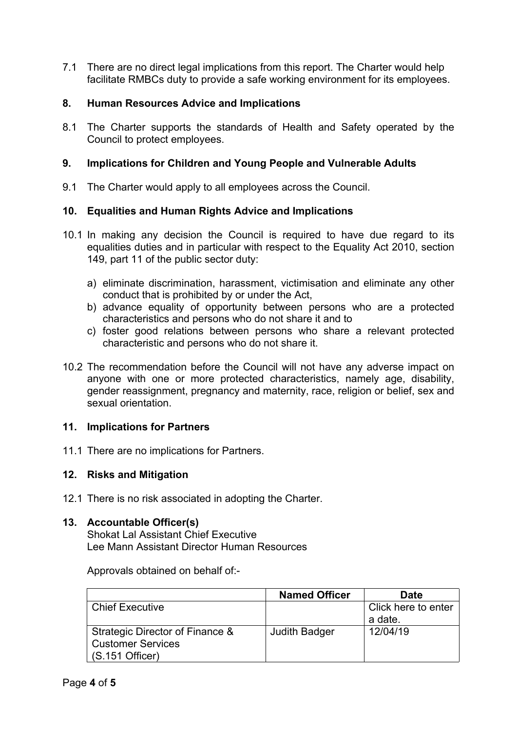7.1 There are no direct legal implications from this report. The Charter would help facilitate RMBCs duty to provide a safe working environment for its employees.

# **8. Human Resources Advice and Implications**

8.1 The Charter supports the standards of Health and Safety operated by the Council to protect employees.

## **9. Implications for Children and Young People and Vulnerable Adults**

9.1 The Charter would apply to all employees across the Council.

# **10. Equalities and Human Rights Advice and Implications**

- 10.1 In making any decision the Council is required to have due regard to its equalities duties and in particular with respect to the Equality Act 2010, section 149, part 11 of the public sector duty:
	- a) eliminate discrimination, harassment, victimisation and eliminate any other conduct that is prohibited by or under the Act,
	- b) advance equality of opportunity between persons who are a protected characteristics and persons who do not share it and to
	- c) foster good relations between persons who share a relevant protected characteristic and persons who do not share it.
- 10.2 The recommendation before the Council will not have any adverse impact on anyone with one or more protected characteristics, namely age, disability, gender reassignment, pregnancy and maternity, race, religion or belief, sex and sexual orientation

### **11. Implications for Partners**

11.1 There are no implications for Partners.

### **12. Risks and Mitigation**

12.1 There is no risk associated in adopting the Charter.

### **13. Accountable Officer(s)**

Shokat Lal Assistant Chief Executive Lee Mann Assistant Director Human Resources

Approvals obtained on behalf of:-

|                                 | <b>Named Officer</b> | <b>Date</b>         |
|---------------------------------|----------------------|---------------------|
| Chief Executive                 |                      | Click here to enter |
|                                 |                      | a date.             |
| Strategic Director of Finance & | Judith Badger        | 12/04/19            |
| <b>Customer Services</b>        |                      |                     |
| $(S.151$ Officer)               |                      |                     |